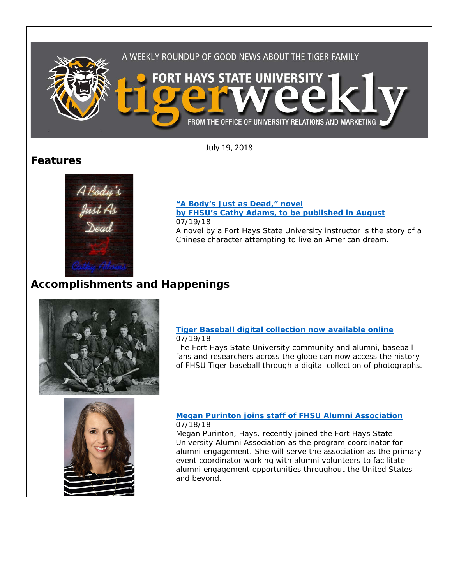

July 19, 2018

## **Features**



#### **["A Body's Just as Dead," novel](https://www.fhsu.edu/news/2018/07/a-bodys-just-as-dead,-novel-by-fhsus-cathy-adams,-to-be-published-in-august)  [by FHSU's Cathy Adams, to be published in August](https://www.fhsu.edu/news/2018/07/a-bodys-just-as-dead,-novel-by-fhsus-cathy-adams,-to-be-published-in-august)** 07/19/18 A novel by a Fort Hays State University instructor is the story of a Chinese character attempting to live an American dream.

# **Accomplishments and Happenings**



### **[Tiger Baseball digital collection now available online](https://www.fhsu.edu/news/2018/07/tiger-baseball-digital-collection-now-available-online)** 07/19/18

The Fort Hays State University community and alumni, baseball fans and researchers across the globe can now access the history of FHSU Tiger baseball through a digital collection of photographs.



### **Megan Purinton [joins staff of FHSU Alumni Association](https://www.fhsu.edu/news/2018/07/megan-purinton-joins-staff-of-fhsu-alumni-association)** 07/18/18

Megan Purinton, Hays, recently joined the Fort Hays State University Alumni Association as the program coordinator for alumni engagement. She will serve the association as the primary event coordinator working with alumni volunteers to facilitate alumni engagement opportunities throughout the United States and beyond.